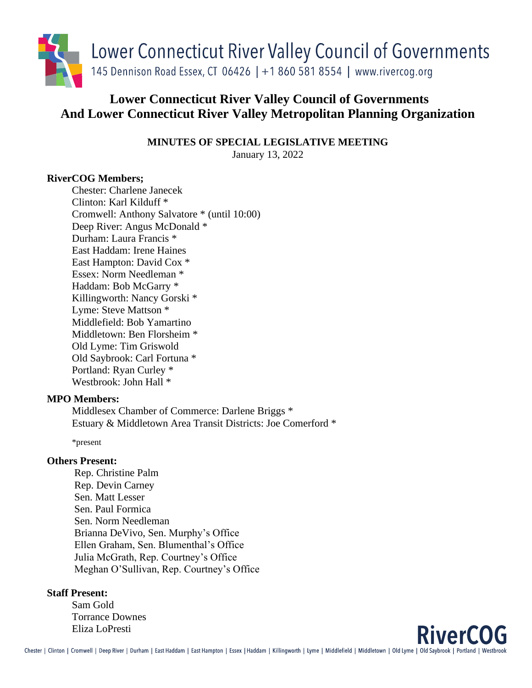

# **Lower Connecticut River Valley Council of Governments And Lower Connecticut River Valley Metropolitan Planning Organization**

**MINUTES OF SPECIAL LEGISLATIVE MEETING**

January 13, 2022

# **RiverCOG Members;**

Chester: Charlene Janecek Clinton: Karl Kilduff \* Cromwell: Anthony Salvatore \* (until 10:00) Deep River: Angus McDonald \* Durham: Laura Francis \* East Haddam: Irene Haines East Hampton: David Cox \* Essex: Norm Needleman \* Haddam: Bob McGarry \* Killingworth: Nancy Gorski \* Lyme: Steve Mattson \* Middlefield: Bob Yamartino Middletown: Ben Florsheim \* Old Lyme: Tim Griswold Old Saybrook: Carl Fortuna \* Portland: Ryan Curley \* Westbrook: John Hall \*

# **MPO Members:**

Middlesex Chamber of Commerce: Darlene Briggs \* Estuary & Middletown Area Transit Districts: Joe Comerford \*

\*present

# **Others Present:**

Rep. Christine Palm Rep. Devin Carney Sen. Matt Lesser Sen. Paul Formica Sen. Norm Needleman Brianna DeVivo, Sen. Murphy's Office Ellen Graham, Sen. Blumenthal's Office Julia McGrath, Rep. Courtney's Office Meghan O'Sullivan, Rep. Courtney's Office

#### **Staff Present:**

Sam Gold Torrance Downes Eliza LoPresti

**RiverCOG**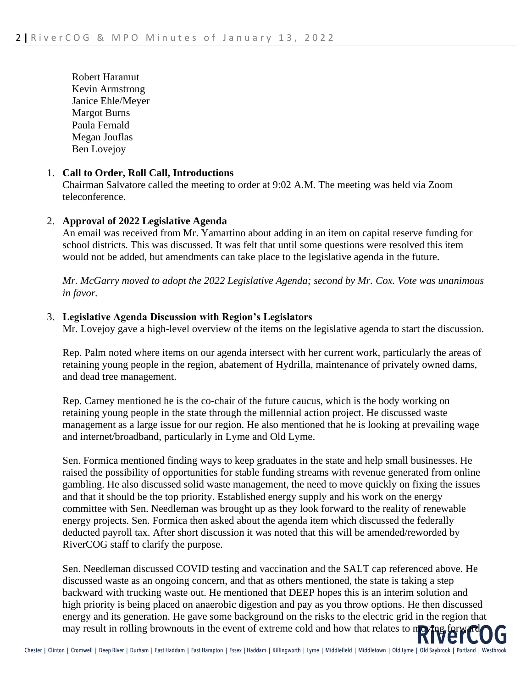Robert Haramut Kevin Armstrong Janice Ehle/Meyer Margot Burns Paula Fernald Megan Jouflas Ben Lovejoy

# 1. **Call to Order, Roll Call, Introductions**

Chairman Salvatore called the meeting to order at 9:02 A.M. The meeting was held via Zoom teleconference.

# 2. **Approval of 2022 Legislative Agenda**

An email was received from Mr. Yamartino about adding in an item on capital reserve funding for school districts. This was discussed. It was felt that until some questions were resolved this item would not be added, but amendments can take place to the legislative agenda in the future.

*Mr. McGarry moved to adopt the 2022 Legislative Agenda; second by Mr. Cox. Vote was unanimous in favor.* 

# 3. **Legislative Agenda Discussion with Region's Legislators**

Mr. Lovejoy gave a high-level overview of the items on the legislative agenda to start the discussion.

Rep. Palm noted where items on our agenda intersect with her current work, particularly the areas of retaining young people in the region, abatement of Hydrilla, maintenance of privately owned dams, and dead tree management.

Rep. Carney mentioned he is the co-chair of the future caucus, which is the body working on retaining young people in the state through the millennial action project. He discussed waste management as a large issue for our region. He also mentioned that he is looking at prevailing wage and internet/broadband, particularly in Lyme and Old Lyme.

Sen. Formica mentioned finding ways to keep graduates in the state and help small businesses. He raised the possibility of opportunities for stable funding streams with revenue generated from online gambling. He also discussed solid waste management, the need to move quickly on fixing the issues and that it should be the top priority. Established energy supply and his work on the energy committee with Sen. Needleman was brought up as they look forward to the reality of renewable energy projects. Sen. Formica then asked about the agenda item which discussed the federally deducted payroll tax. After short discussion it was noted that this will be amended/reworded by RiverCOG staff to clarify the purpose.

Sen. Needleman discussed COVID testing and vaccination and the SALT cap referenced above. He discussed waste as an ongoing concern, and that as others mentioned, the state is taking a step backward with trucking waste out. He mentioned that DEEP hopes this is an interim solution and high priority is being placed on anaerobic digestion and pay as you throw options. He then discussed energy and its generation. He gave some background on the risks to the electric grid in the region that energy and its generation. He gave some background on the state of the forward may result in rolling brownouts in the event of extreme cold and how that relates to moving forward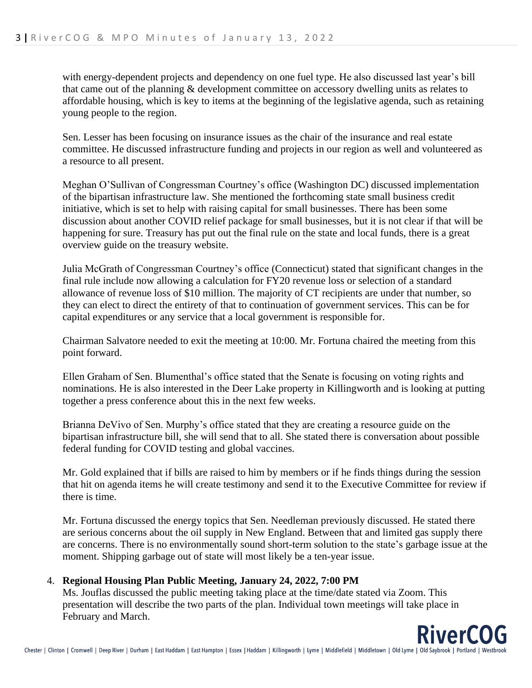with energy-dependent projects and dependency on one fuel type. He also discussed last year's bill that came out of the planning & development committee on accessory dwelling units as relates to affordable housing, which is key to items at the beginning of the legislative agenda, such as retaining young people to the region.

Sen. Lesser has been focusing on insurance issues as the chair of the insurance and real estate committee. He discussed infrastructure funding and projects in our region as well and volunteered as a resource to all present.

Meghan O'Sullivan of Congressman Courtney's office (Washington DC) discussed implementation of the bipartisan infrastructure law. She mentioned the forthcoming state small business credit initiative, which is set to help with raising capital for small businesses. There has been some discussion about another COVID relief package for small businesses, but it is not clear if that will be happening for sure. Treasury has put out the final rule on the state and local funds, there is a great overview guide on the treasury website.

Julia McGrath of Congressman Courtney's office (Connecticut) stated that significant changes in the final rule include now allowing a calculation for FY20 revenue loss or selection of a standard allowance of revenue loss of \$10 million. The majority of CT recipients are under that number, so they can elect to direct the entirety of that to continuation of government services. This can be for capital expenditures or any service that a local government is responsible for.

Chairman Salvatore needed to exit the meeting at 10:00. Mr. Fortuna chaired the meeting from this point forward.

Ellen Graham of Sen. Blumenthal's office stated that the Senate is focusing on voting rights and nominations. He is also interested in the Deer Lake property in Killingworth and is looking at putting together a press conference about this in the next few weeks.

Brianna DeVivo of Sen. Murphy's office stated that they are creating a resource guide on the bipartisan infrastructure bill, she will send that to all. She stated there is conversation about possible federal funding for COVID testing and global vaccines.

Mr. Gold explained that if bills are raised to him by members or if he finds things during the session that hit on agenda items he will create testimony and send it to the Executive Committee for review if there is time.

Mr. Fortuna discussed the energy topics that Sen. Needleman previously discussed. He stated there are serious concerns about the oil supply in New England. Between that and limited gas supply there are concerns. There is no environmentally sound short-term solution to the state's garbage issue at the moment. Shipping garbage out of state will most likely be a ten-year issue.

# 4. **Regional Housing Plan Public Meeting, January 24, 2022, 7:00 PM**

Ms. Jouflas discussed the public meeting taking place at the time/date stated via Zoom. This presentation will describe the two parts of the plan. Individual town meetings will take place in February and March.